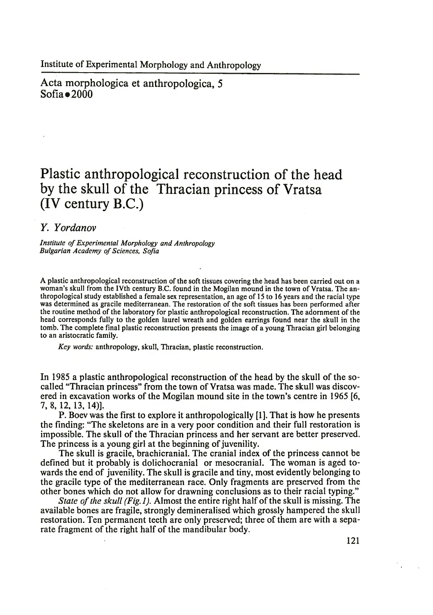Institute of Experimental Morphology and Anthropology

Acta morphologica et anthropologica, 5  $Sofia = 2000$ 

## **Plastic anthropological reconstruction of the head by the skull of the Thracian princess of Vratsa (IV century B.C.)**

## *Y. Yordanov*

*Institute of Experimental Morphology and Anthropology* **Bulgarian Academy of Sciences, Sofia** 

A plastic anthropological reconstruction of the soft tissues covering the head has been carried out on a woman's skull from the IVth century B.C. found in the Mogilan mound in the town of Vratsa. The anthropological study established a female sex representation, an age of 15 to 16 years and the racial type was determined as gracile mediterranean. The restoration of the soft tissues has been performed after the routine method of the laboratory for plastic anthropological reconstruction. The adornment of the head corresponds fully to the golden laurel wreath and golden earrings found near the skull in the tomb. The complete final plastic reconstruction presents the image of a young Thracian girl belonging to an aristocratic family.

*Key words:* anthropology, skull, Thracian, plastic reconstruction.

In 1985 a plastic anthropological reconstruction of the head by the skull of the socalled "Thracian princess" from the town of Vratsa was made. The skull was discovered in excavation works of the Mogilan mound site in the town's centre in 1965 [6, 7, 8, 12, 13, 14)].

P. Boev was the first to explore it anthropologically [1]. That is how he presents the finding: "The skeletons are in a very poor condition and their full restoration is impossible. The skull of the Thracian princess and her servant are better preserved. The princess is a young girl at the beginning of juvenility.

The skull is gracile, brachicranial. The cranial index of the princess cannot be defined but it probably is dolichocranial or mesocranial. The woman is aged towards the end of juvenility. The skull is gracile and tiny, most evidently belonging to the gracile type of the mediterranean race. Only fragments are preserved from the other bones which do not allow for drawning conclusions as to their racial typing."

*State of the skull (Fig.l).* Almost the entire right half of the skull is missing. The available bones are fragile, strongly demineralised which grossly hampered the skull restoration. Ten permanent teeth are only preserved; three of them are with a separate fragment of the right half of the mandibular body.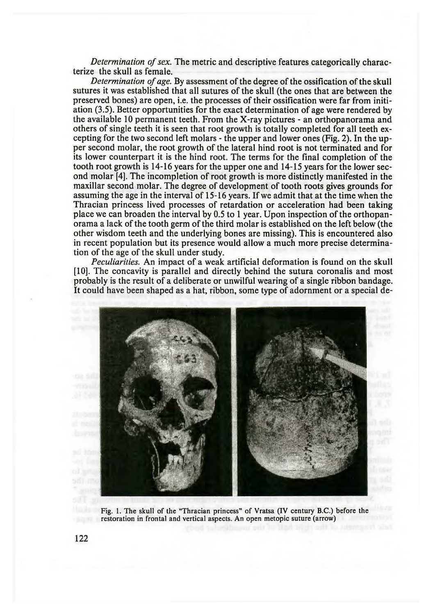*Determination of sex.* The metric and descriptive features categorically characterize the skull as female.

*Determination of age.* By assessment of the degree of the ossification of the skull sutures it was established that all sutures of the skull (the ones that are between the preserved bones) are open, i.e. the processes of their ossification were far from initiation (3.5). Better opportunities for the exact determination of age were rendered by the available 10 permanent teeth. From the X-ray pictures - an orthopanorama and others of single teeth it is seen that root growth is totally completed for all teeth excepting for the two second left molars - the upper and lower ones (Fig. 2). In the upper second molar, the root growth of the lateral hind root is not terminated and for its lower counterpart it is the hind root. The terms for the final completion of the tooth root growth is 14-16 years for the upper one and 14-15 years for the lower second molar [4]. The incompletion of root growth is more distinctly manifested in the maxillar second molar. The degree of development of tooth roots gives grounds for assuming the age in the interval of 15-16 years. If we admit that at the time when the Thracian princess lived processes of retardation or acceleration had been taking place we can broaden the interval by 0.5 to 1 year. Upon inspection of the orthopanorama a lack of the tooth germ of the third molar is established on the left below (the other wisdom teeth and the underlying bones are missing). This is encountered also in recent population but its presence would allow a much more precise determination of the age of the skull under study.

*Peculiarities.* An impact of a weak artificial deformation is found on the skull [10]. The concavity is parallel and directly behind the sutura coronalis and most probably is the result of a deliberate or unwilful wearing of a single ribbon bandage. It could have been shaped as a hat, ribbon, some type of adornment or a special de-



Fig. 1. The skull of the "Thracian princess" of Vratsa (IV century B.C.) before the restoration in frontal and vertical aspects. An open metopic suture (arrow)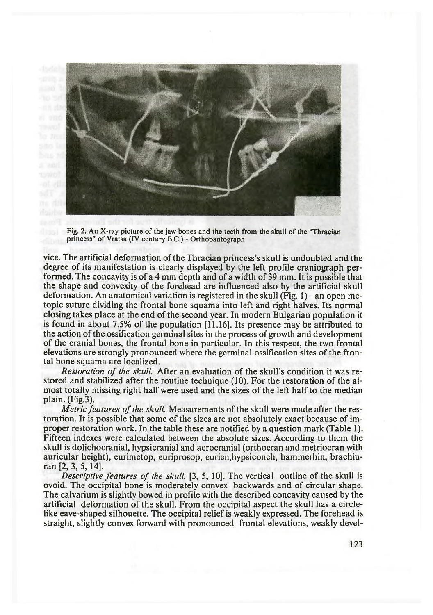

Fig. 2. An X-ray picture of the jaw bones and the teeth from the skull of the "Thracian princess" of Vratsa (IV century B.C.) - Orthopantograph

vice. The artificial deformation of the Thracian princess's skull is undoubted and the degree of its manifestation is clearly displayed by the left profile craniograph performed. The concavity is of a 4 mm depth and of a width of 39 mm. It is possible that the shape and convexity of the forehead are influenced also by the artificial skull deformation. An anatomical variation is registered in the skull (Fig. 1) - an open metopic suture dividing the frontal bone squama into left and right halves. Its normal closing takes place at the end of the second year. In modern Bulgarian population it is found in about 7.5% of the population [11.16]. Its presence may be attributed to the action of the ossification germinal sites in the process of growth and development of the cranial bones, the frontal bone in particular. In this respect, the two frontal elevations are strongly pronounced where the germinal ossification sites of the frontal bone squama are localized.

*Restoration of the skull* After an evaluation of the skull's condition it was restored and stabilized after the routine technique (10). For the restoration of the almost totally missing right half were used and the sizes of the left half to the median plain. (Fig.3).

*Metric features of the skull* Measurements of the skull were made after the restoration. It is possible that some of the sizes are not absolutely exact because of improper restoration work. In the table these are notified by a question mark (Table 1). Fifteen indexes were calculated between the absolute sizes. According to them the skull is dolichocranial, hypsicranial and acrocranial (orthocran and metriocran with auricular height), eurimetop, euriprosop, eurien,hypsiconch, hammerhin, brachiuran [2, 3, 5, 14].

*Descriptive features of the skull* [3, 5, 10]. The vertical outline of the skull is ovoid. The occipital bone is moderately convex backwards and of circular shape. The calvarium is slightly bowed in profile with the described concavity caused by the artificial deformation of the skull. From the occipital aspect the skull has a circlelike eave-shaped silhouette. The occipital relief is weakly expressed. The forehead is straight, slightly convex forward with pronounced frontal elevations, weakly devel-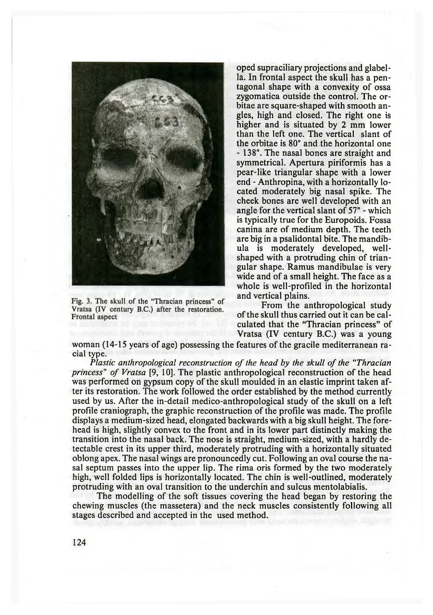

Fig. 3. The skull of the "Thracian princess" of Vratsa (IV century B.C.) after the restoration. Frontal aspect

oped supraciliary projections and glabella. In frontal aspect the skull has a pentagonal shape with a convexity of ossa zygomatica outside the control. The orbitae are square-shaped with smooth angles, high and closed. The right one is higher and is situated by 2 mm lower than the left one. The vertical slant of the orbitae is 80° and the horizontal one - 138°. The nasal bones are straight and symmetrical. Apertura piriformis has a pear-like triangular shape with a lower end - Anthropina, with a horizontally located moderately big nasal spike. The cheek bones are well developed with an angle for the vertical slant of 57° - which is typically true for the Europoids. Fossa canina are of medium depth. The teeth are big in a psalidontal bite. The mandibula is moderately developed, wellshaped with a protruding chin of triangular shape. Ramus mandibulae is very wide and of a small height. The face as a whole is well-profiled in the horizontal and vertical plains.

From the anthropological study of the skull thus carried out it can be calculated that the "Thracian princess" of Vratsa (IV century B.C.) was a young

woman (14-15 years of age) possessing the features of the gracile mediterranean racial type.

*Plastic anthropological reconstruction of the head by the skull of the "Thracian princess'' of Vratsa* [9, 10]. The plastic anthropological reconstruction of the head was performed on gypsum copy of the skull moulded in an elastic imprint taken after its restoration. The work followed the order established by the method currently used by us. After the in-detail medico-anthropological study of the skull on a left profile craniograph, the graphic reconstruction of the profile was made. The profile displays a medium-sized head, elongated backwards with a big skull height. The forehead is high, slightly convex to the front and in its lower part distinctly making the transition into the nasal back. The nose is straight, medium-sized, with a hardly detectable crest in its upper third, moderately protruding with a horizontally situated oblong apex. The nasal wings are pronouncedly cut. Following an oval course the nasal septum passes into the upper lip. The rima oris formed by the two moderately high, well folded lips is horizontally located. The chin is well-outlined, moderately protruding with an oval transition to the underchin and sulcus mentolabialis.

The modelling of the soft tissues covering the head began by restoring the chewing muscles (the massetera) and the neck muscles consistently following all stages described and accepted in the used method.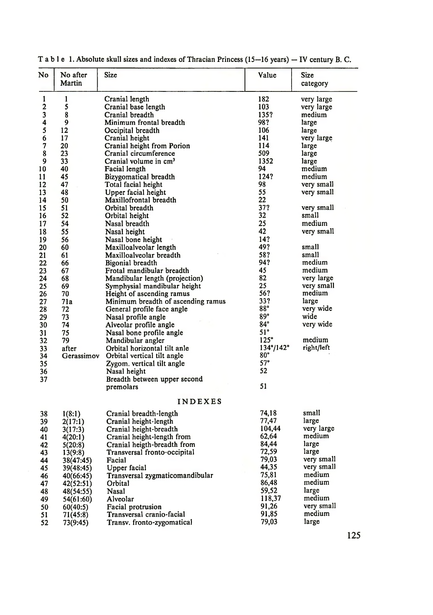| No       | No after<br>Martin     | Size                                   | Value                     | <b>Size</b><br>category |  |  |  |
|----------|------------------------|----------------------------------------|---------------------------|-------------------------|--|--|--|
| 1        | 1                      | Cranial length                         | 182                       | very large              |  |  |  |
| 2        | 5                      | Cranial base length                    | 103                       | very large              |  |  |  |
| 3        | 8                      | Cranial breadth                        | 135?                      | medium                  |  |  |  |
| 4        | 9                      | Minimum frontal breadth                | 98?                       | large                   |  |  |  |
| 5        | $12 \overline{ }$      | Occipital breadth                      | 106                       | large                   |  |  |  |
| 6        | 17                     | Cranial height                         | 141                       | very large              |  |  |  |
| 7        | 20                     | Cranial height from Porion             | 114                       | large                   |  |  |  |
| 8        | 23                     | Cranial circumference                  | 509                       | large                   |  |  |  |
| 9        | 33                     | Cranial volume in cm <sup>3</sup>      | 1352                      | large                   |  |  |  |
| 10       | 40                     | Facial length                          | 94                        | medium                  |  |  |  |
| 11       | 45                     | Bizygomatical breadth                  | 124?                      | medium                  |  |  |  |
| 12       | 47                     | Total facial height                    | 98                        | very small              |  |  |  |
| 13       | 48                     | Upper facial height                    | 55                        | very small              |  |  |  |
| 14       | 50                     | Maxillofrontal breadth                 | 22                        |                         |  |  |  |
| 15<br>16 | 51<br>52               | Orbital breadth                        | 37?<br>32                 | very small              |  |  |  |
| 17       | 54                     | Orbital height<br>Nasal breadth        | 25                        | small<br>medium         |  |  |  |
| 18       | 55                     | Nasal height                           | 42                        |                         |  |  |  |
| 19       | 56                     | Nasal bone height                      | 14?                       | very small              |  |  |  |
| 20       | 60                     | Maxilloalveolar length                 | 49?                       | small                   |  |  |  |
| 21       | 61                     | Maxilloalveolar breadth                | 58?                       | small                   |  |  |  |
| 22       | 66                     | Bigonial breadth                       | 94?                       | medium                  |  |  |  |
| 23       | 67                     | Frotal mandibular breadth              | 45                        | medium                  |  |  |  |
| 24       | 68                     | Mandibular length (projection)         | 82                        | very large              |  |  |  |
| 25       | 69                     | Symphysial mandibular height           | 25                        | very small              |  |  |  |
| 26       | 70                     | Height of ascending ramus              | 56?                       | medium                  |  |  |  |
| 27       | 71a                    | Minimum breadth of ascending ramus     | 33?                       | large                   |  |  |  |
| 28       | 72                     | General profile face angle             | 88°                       | very wide               |  |  |  |
| 29       | 73                     | Nasal profile angle                    | 89°                       | wide                    |  |  |  |
| 30       | 74                     | Alveolar profile angle                 | 84°                       | very wide               |  |  |  |
| 31       | 75                     | Nasal bone profile angle               | 51°                       |                         |  |  |  |
| 32       | 79                     | Mandibular angler                      | 125°                      | medium                  |  |  |  |
| 33       | after                  | Orbital horizontal tilt anle           | $134^{\circ}/142^{\circ}$ | right/left              |  |  |  |
| 34       | Gerassimov             | Orbital vertical tilt angle            | 80°                       |                         |  |  |  |
| 35       |                        | Zygom. vertical tilt angle             | 57°                       |                         |  |  |  |
| 36       |                        | Nasal height                           | 52                        |                         |  |  |  |
| 37       |                        | Breadth between upper second           | 51                        |                         |  |  |  |
|          |                        | premolars                              |                           |                         |  |  |  |
|          |                        | <b>INDEXES</b>                         |                           |                         |  |  |  |
| 38       | 1(8:1)                 | Cranial breadth-length                 | 74,18                     | small                   |  |  |  |
| 39       | 2(17:1)                | Cranial height-length                  | 77,47                     | large                   |  |  |  |
| 40       | 3(17:3)                | Cranial height-breadth                 | 104,44<br>62,64           | very large<br>medium    |  |  |  |
| 41       | 4(20:1)                | Cranial height-length from             | 84,44                     | large                   |  |  |  |
| 42<br>43 | 5(20:8)                | Cranial heigth-breadth from            | 72,59                     | large                   |  |  |  |
| 44       | 13(9:8)                | Transversal fronto-occipital<br>Facial | 79,03                     | very small              |  |  |  |
| 45       | 38(47:45)<br>39(48:45) | <b>Upper facial</b>                    | 44,35                     | very small              |  |  |  |
| 46       | 40(66:45)              | Transversal zygmaticomandibular        | 75,81                     | medium                  |  |  |  |
| 47       | 42(52:51)              | Orbital                                | 86,48                     | medium                  |  |  |  |
| 48       | 48(54:55)              | Nasal                                  | 59,52                     | large                   |  |  |  |
| 49       | 54(61:60)              | Alveolar                               | 118,37                    | medium                  |  |  |  |
| 50       | 60(40:5)               | Facial protrusion                      | 91,26                     | very small              |  |  |  |
| 51       | 71(45:8)               | Transversal cranio-facial              | 91,85                     | medium                  |  |  |  |
| 52       | 73(9:45)               | Transv. fronto-zygomatical             | 79,03                     | large                   |  |  |  |
|          |                        |                                        |                           |                         |  |  |  |

|  |  |  |  |  |  |  |  |  |  |  |  |  |  | T a b l e 1. Absolute skull sizes and indexes of Thracian Princess (15-16 years) - IV century B. C. |  |  |  |  |  |  |  |  |
|--|--|--|--|--|--|--|--|--|--|--|--|--|--|-----------------------------------------------------------------------------------------------------|--|--|--|--|--|--|--|--|
|--|--|--|--|--|--|--|--|--|--|--|--|--|--|-----------------------------------------------------------------------------------------------------|--|--|--|--|--|--|--|--|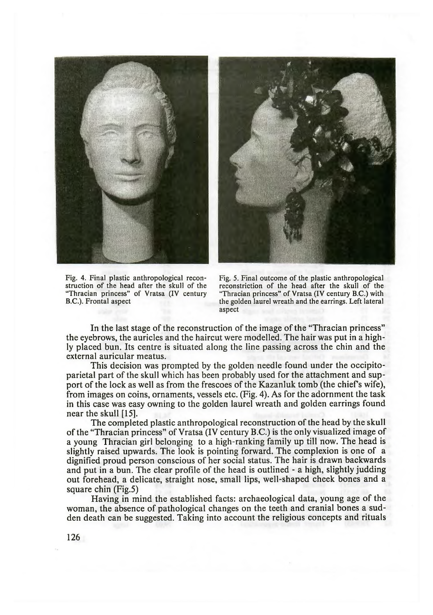



Fig. 4. Final plastic anthropological reconstruction of the head after the skull of the "Thracian princess" of Vratsa (IV century B.C.). Frontal aspect

Fig. 5. Final outcome of the plastic anthropological reconstriction of the head after the skull of the "Thracian princess" of Vratsa (IV century B.C.) with the golden laurel wreath and the earrings. Left lateral aspect

In the last stage of the reconstruction of the image of the "Thracian princess" the eyebrows, the auricles and the haircut were modelled. The hair was put in a highly placed bun. Its centre is situated along the line passing across the chin and the external auricular meatus.

This decision was prompted by the golden needle found under the occipitoparietal part of the skull which has been probably used for the attachment and support of the lock as well as from the frescoes of the Kazanluk tomb (the chiefs wife), from images on coins, ornaments, vessels etc. (Fig. 4). As for the adornment the task in this case was easy owning to the golden laurel wreath and golden earrings found near the skull [15].

The completed plastic anthropological reconstruction of the head by the skull of the "Thracian princess" of Vratsa (IV century B.C.) is the only visualized image of a young Thracian girl belonging to a high-ranking family up till now. The head is slightly raised upwards. The look is pointing forward. The complexion is one of a dignified proud person conscious of her social status. The hair is drawn backwards and put in a bun. The clear profile of the head is outlined - a high, slightly judding out forehead, a delicate, straight nose, small lips, well-shaped cheek bones and a square chin (Fig.5)

Having in mind the established facts: archaeological data, young age of the woman, the absence of pathological changes on the teeth and cranial bones a sudden death can be suggested. Taking into account the religious concepts and rituals